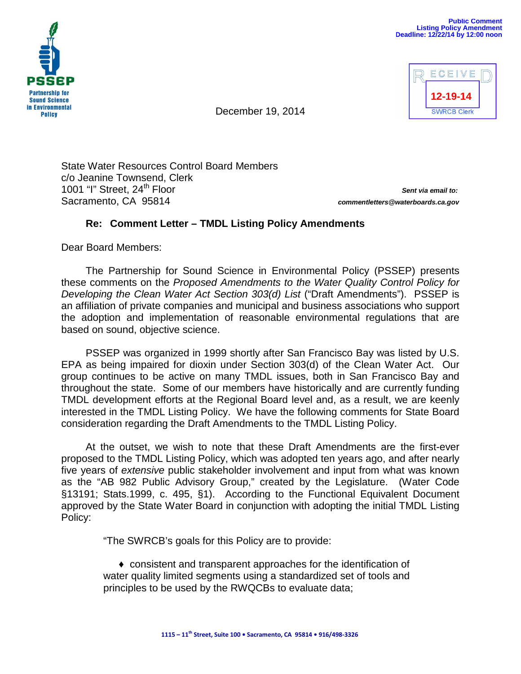



December 19, 2014

State Water Resources Control Board Members c/o Jeanine Townsend, Clerk 1001 "I" Street, 24th Floor *Sent via email to:* Sacramento, CA 95814 *commentletters@waterboards.ca.gov*

## **Re: Comment Letter – TMDL Listing Policy Amendments**

Dear Board Members:

The Partnership for Sound Science in Environmental Policy (PSSEP) presents these comments on the *Proposed Amendments to the Water Quality Control Policy for Developing the Clean Water Act Section 303(d) List* ("Draft Amendments"). PSSEP is an affiliation of private companies and municipal and business associations who support the adoption and implementation of reasonable environmental regulations that are based on sound, objective science.

PSSEP was organized in 1999 shortly after San Francisco Bay was listed by U.S. EPA as being impaired for dioxin under Section 303(d) of the Clean Water Act. Our group continues to be active on many TMDL issues, both in San Francisco Bay and throughout the state. Some of our members have historically and are currently funding TMDL development efforts at the Regional Board level and, as a result, we are keenly interested in the TMDL Listing Policy. We have the following comments for State Board consideration regarding the Draft Amendments to the TMDL Listing Policy.

At the outset, we wish to note that these Draft Amendments are the first-ever proposed to the TMDL Listing Policy, which was adopted ten years ago, and after nearly five years of *extensive* public stakeholder involvement and input from what was known as the "AB 982 Public Advisory Group," created by the Legislature. (Water Code §13191; Stats.1999, c. 495, §1). According to the Functional Equivalent Document approved by the State Water Board in conjunction with adopting the initial TMDL Listing Policy:

"The SWRCB's goals for this Policy are to provide:

♦ consistent and transparent approaches for the identification of water quality limited segments using a standardized set of tools and principles to be used by the RWQCBs to evaluate data;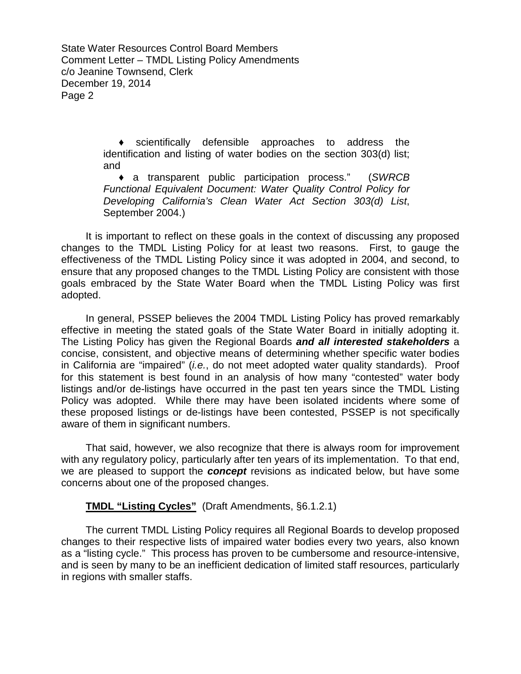> ♦ scientifically defensible approaches to address the identification and listing of water bodies on the section 303(d) list; and

> ♦ a transparent public participation process." (*SWRCB Functional Equivalent Document: Water Quality Control Policy for Developing California's Clean Water Act Section 303(d) List*, September 2004.)

It is important to reflect on these goals in the context of discussing any proposed changes to the TMDL Listing Policy for at least two reasons. First, to gauge the effectiveness of the TMDL Listing Policy since it was adopted in 2004, and second, to ensure that any proposed changes to the TMDL Listing Policy are consistent with those goals embraced by the State Water Board when the TMDL Listing Policy was first adopted.

In general, PSSEP believes the 2004 TMDL Listing Policy has proved remarkably effective in meeting the stated goals of the State Water Board in initially adopting it. The Listing Policy has given the Regional Boards *and all interested stakeholders* a concise, consistent, and objective means of determining whether specific water bodies in California are "impaired" (*i.e.*, do not meet adopted water quality standards). Proof for this statement is best found in an analysis of how many "contested" water body listings and/or de-listings have occurred in the past ten years since the TMDL Listing Policy was adopted. While there may have been isolated incidents where some of these proposed listings or de-listings have been contested, PSSEP is not specifically aware of them in significant numbers.

That said, however, we also recognize that there is always room for improvement with any regulatory policy, particularly after ten years of its implementation. To that end, we are pleased to support the *concept* revisions as indicated below, but have some concerns about one of the proposed changes.

## **TMDL "Listing Cycles"** (Draft Amendments, §6.1.2.1)

The current TMDL Listing Policy requires all Regional Boards to develop proposed changes to their respective lists of impaired water bodies every two years, also known as a "listing cycle." This process has proven to be cumbersome and resource-intensive, and is seen by many to be an inefficient dedication of limited staff resources, particularly in regions with smaller staffs.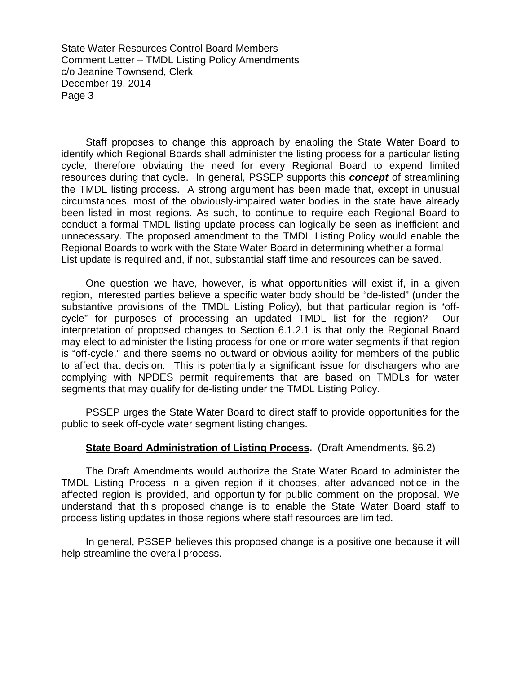Staff proposes to change this approach by enabling the State Water Board to identify which Regional Boards shall administer the listing process for a particular listing cycle, therefore obviating the need for every Regional Board to expend limited resources during that cycle. In general, PSSEP supports this *concept* of streamlining the TMDL listing process. A strong argument has been made that, except in unusual circumstances, most of the obviously-impaired water bodies in the state have already been listed in most regions. As such, to continue to require each Regional Board to conduct a formal TMDL listing update process can logically be seen as inefficient and unnecessary. The proposed amendment to the TMDL Listing Policy would enable the Regional Boards to work with the State Water Board in determining whether a formal List update is required and, if not, substantial staff time and resources can be saved.

One question we have, however, is what opportunities will exist if, in a given region, interested parties believe a specific water body should be "de-listed" (under the substantive provisions of the TMDL Listing Policy), but that particular region is "offcycle" for purposes of processing an updated TMDL list for the region? Our interpretation of proposed changes to Section 6.1.2.1 is that only the Regional Board may elect to administer the listing process for one or more water segments if that region is "off-cycle," and there seems no outward or obvious ability for members of the public to affect that decision. This is potentially a significant issue for dischargers who are complying with NPDES permit requirements that are based on TMDLs for water segments that may qualify for de-listing under the TMDL Listing Policy.

PSSEP urges the State Water Board to direct staff to provide opportunities for the public to seek off-cycle water segment listing changes.

## **State Board Administration of Listing Process.** (Draft Amendments, §6.2)

The Draft Amendments would authorize the State Water Board to administer the TMDL Listing Process in a given region if it chooses, after advanced notice in the affected region is provided, and opportunity for public comment on the proposal. We understand that this proposed change is to enable the State Water Board staff to process listing updates in those regions where staff resources are limited.

In general, PSSEP believes this proposed change is a positive one because it will help streamline the overall process.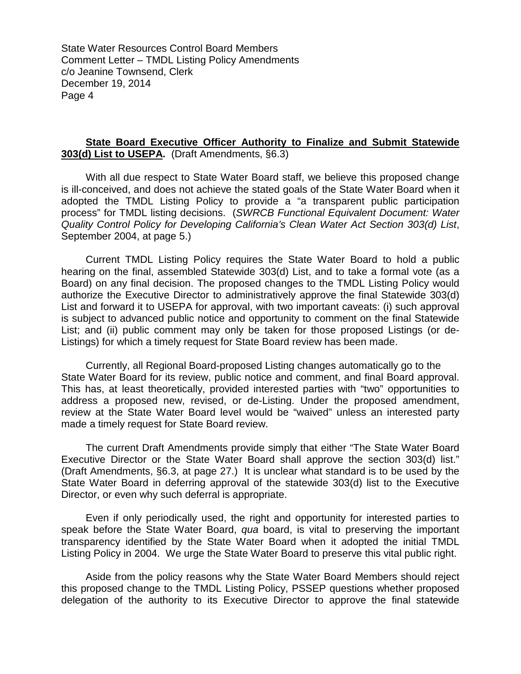## **State Board Executive Officer Authority to Finalize and Submit Statewide 303(d) List to USEPA.** (Draft Amendments, §6.3)

With all due respect to State Water Board staff, we believe this proposed change is ill-conceived, and does not achieve the stated goals of the State Water Board when it adopted the TMDL Listing Policy to provide a "a transparent public participation process" for TMDL listing decisions. (*SWRCB Functional Equivalent Document: Water Quality Control Policy for Developing California's Clean Water Act Section 303(d) List*, September 2004, at page 5.)

Current TMDL Listing Policy requires the State Water Board to hold a public hearing on the final, assembled Statewide 303(d) List, and to take a formal vote (as a Board) on any final decision. The proposed changes to the TMDL Listing Policy would authorize the Executive Director to administratively approve the final Statewide 303(d) List and forward it to USEPA for approval, with two important caveats: (i) such approval is subject to advanced public notice and opportunity to comment on the final Statewide List; and (ii) public comment may only be taken for those proposed Listings (or de-Listings) for which a timely request for State Board review has been made.

Currently, all Regional Board-proposed Listing changes automatically go to the State Water Board for its review, public notice and comment, and final Board approval. This has, at least theoretically, provided interested parties with "two" opportunities to address a proposed new, revised, or de-Listing. Under the proposed amendment, review at the State Water Board level would be "waived" unless an interested party made a timely request for State Board review.

The current Draft Amendments provide simply that either "The State Water Board Executive Director or the State Water Board shall approve the section 303(d) list." (Draft Amendments, §6.3, at page 27.) It is unclear what standard is to be used by the State Water Board in deferring approval of the statewide 303(d) list to the Executive Director, or even why such deferral is appropriate.

Even if only periodically used, the right and opportunity for interested parties to speak before the State Water Board, *qua* board, is vital to preserving the important transparency identified by the State Water Board when it adopted the initial TMDL Listing Policy in 2004. We urge the State Water Board to preserve this vital public right.

Aside from the policy reasons why the State Water Board Members should reject this proposed change to the TMDL Listing Policy, PSSEP questions whether proposed delegation of the authority to its Executive Director to approve the final statewide